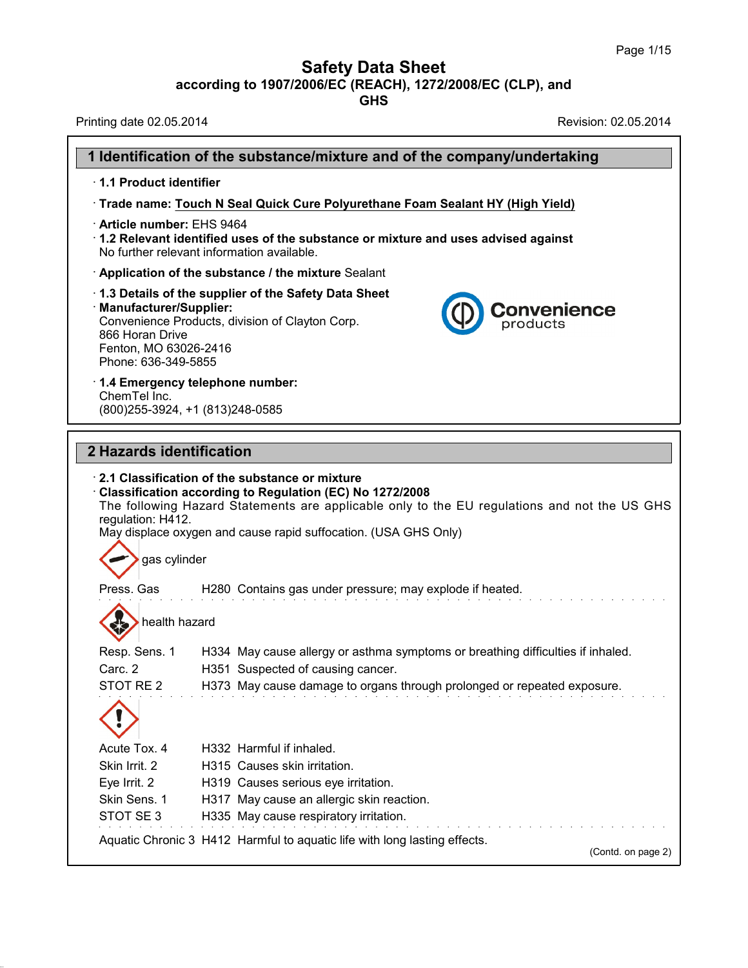## **Safety Data Sheet**

**according to 1907/2006/EC (REACH), 1272/2008/EC (CLP),and**

**GHS**

Printing date 02.05.2014 **Revision: 02.05.2014** 

38.0.33

|                                                                                                                                                                                                                                          | 1 Identification of the substance/mixture and of the company/undertaking                                                                                        |  |
|------------------------------------------------------------------------------------------------------------------------------------------------------------------------------------------------------------------------------------------|-----------------------------------------------------------------------------------------------------------------------------------------------------------------|--|
| 1.1 Product identifier                                                                                                                                                                                                                   |                                                                                                                                                                 |  |
|                                                                                                                                                                                                                                          | Trade name: Touch N Seal Quick Cure Polyurethane Foam Sealant HY (High Yield)                                                                                   |  |
| · Article number: EHS 9464<br>1.2 Relevant identified uses of the substance or mixture and uses advised against<br>No further relevant information available.                                                                            |                                                                                                                                                                 |  |
|                                                                                                                                                                                                                                          | Application of the substance / the mixture Sealant                                                                                                              |  |
| 1.3 Details of the supplier of the Safety Data Sheet<br>· Manufacturer/Supplier:<br><b>Convenience</b><br>Convenience Products, division of Clayton Corp.<br>products<br>866 Horan Drive<br>Fenton, MO 63026-2416<br>Phone: 636-349-5855 |                                                                                                                                                                 |  |
| 1.4 Emergency telephone number:                                                                                                                                                                                                          |                                                                                                                                                                 |  |
| ChemTel Inc.<br>(800) 255-3924, +1 (813) 248-0585                                                                                                                                                                                        |                                                                                                                                                                 |  |
|                                                                                                                                                                                                                                          |                                                                                                                                                                 |  |
| 2 Hazards identification                                                                                                                                                                                                                 |                                                                                                                                                                 |  |
| regulation: H412.<br>gas cylinder                                                                                                                                                                                                        | The following Hazard Statements are applicable only to the EU regulations and not the US GHS<br>May displace oxygen and cause rapid suffocation. (USA GHS Only) |  |
| Press. Gas                                                                                                                                                                                                                               | H280 Contains gas under pressure; may explode if heated.                                                                                                        |  |
| health hazard                                                                                                                                                                                                                            |                                                                                                                                                                 |  |
| Resp. Sens. 1                                                                                                                                                                                                                            | H334 May cause allergy or asthma symptoms or breathing difficulties if inhaled.                                                                                 |  |
| Carc. 2                                                                                                                                                                                                                                  | H351 Suspected of causing cancer.                                                                                                                               |  |
| STOT RE <sub>2</sub>                                                                                                                                                                                                                     | H373 May cause damage to organs through prolonged or repeated exposure.                                                                                         |  |
| Acute Tox. 4                                                                                                                                                                                                                             | H332 Harmful if inhaled.                                                                                                                                        |  |
| Skin Irrit. 2                                                                                                                                                                                                                            | H315 Causes skin irritation.                                                                                                                                    |  |
| Eye Irrit. 2                                                                                                                                                                                                                             | H319 Causes serious eye irritation.                                                                                                                             |  |
| Skin Sens. 1<br>STOT SE 3                                                                                                                                                                                                                | H317 May cause an allergic skin reaction.                                                                                                                       |  |
|                                                                                                                                                                                                                                          | H335 May cause respiratory irritation.<br>Aquatic Chronic 3 H412 Harmful to aquatic life with long lasting effects.<br>(Contd. on page 2)                       |  |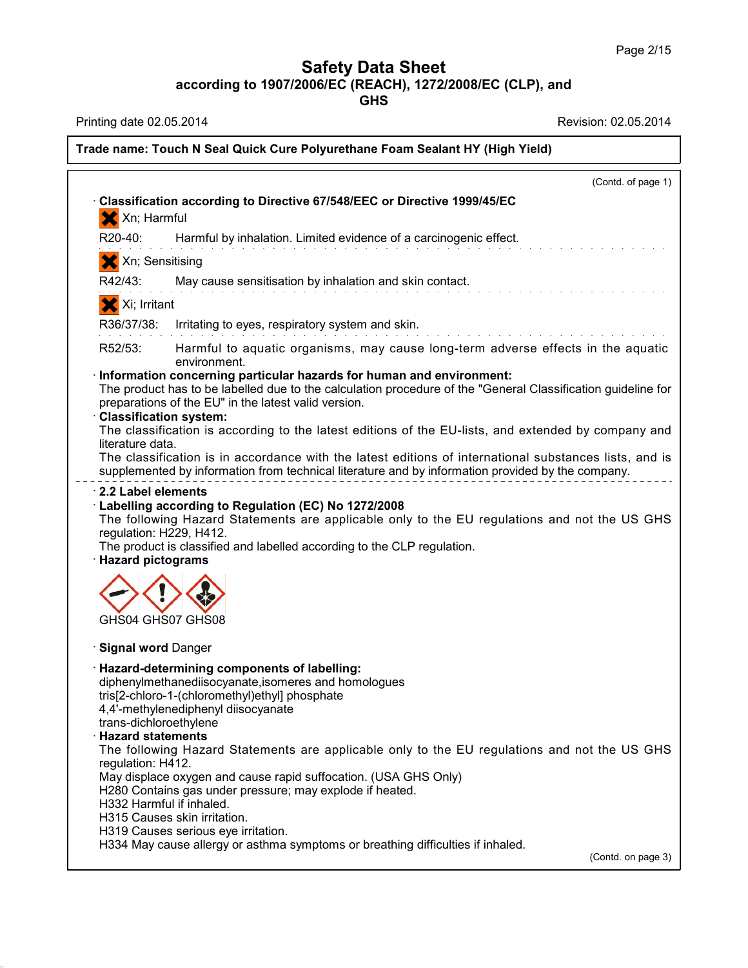**GHS**

Printing date 02.05.2014 **Revision: 02.05.2014** Revision: 02.05.2014

38.0.33

## **Trade name: Touch N Seal Quick Cure Polyurethane Foam Sealant HY (High Yield)** (Contd. of page 1) · **Classification according to Directive 67/548/EEC or Directive 1999/45/EC** X Xn; Harmful R20-40: Harmful by inhalation. Limited evidence of a carcinogenic effect. X Xn; Sensitising R42/43: May cause sensitisation by inhalation and skin contact. X Xi; Irritant R36/37/38: Irritating to eyes, respiratory system and skin. R52/53: Harmful to aquatic organisms, may cause long-term adverse effects in the aquatic environment. · **Information concerning particular hazards for human and environment:** The product has to be labelled due to the calculation procedure of the "General Classification guideline for preparations of the EU" in the latest valid version. · **Classification system:** The classification is according to the latest editions of the EU-lists, and extended by company and literature data. The classification is in accordance with the latest editions of international substances lists, and is supplemented by information from technical literature and by information provided by the company. · **2.2 Label elements** · **Labelling according to Regulation (EC) No 1272/2008** The following Hazard Statements are applicable only to the EU regulations and not the US GHS regulation: H229, H412. The product is classified and labelled according to the CLP regulation. · **Hazard pictograms** GHS04 GHS07 GHS08 · **Signal word** Danger · **Hazard-determining components of labelling:** diphenylmethanediisocyanate,isomeres and homologues tris[2-chloro-1-(chloromethyl)ethyl] phosphate 4,4'-methylenediphenyl diisocyanate trans-dichloroethylene · **Hazard statements** The following Hazard Statements are applicable only to the EU regulations and not the US GHS regulation: H412. May displace oxygen and cause rapid suffocation. (USA GHS Only) H280 Contains gas under pressure; may explode if heated. H332 Harmful if inhaled. H315 Causes skin irritation. H319 Causes serious eye irritation. H334 May cause allergy or asthma symptoms or breathing difficulties if inhaled. (Contd. on page 3)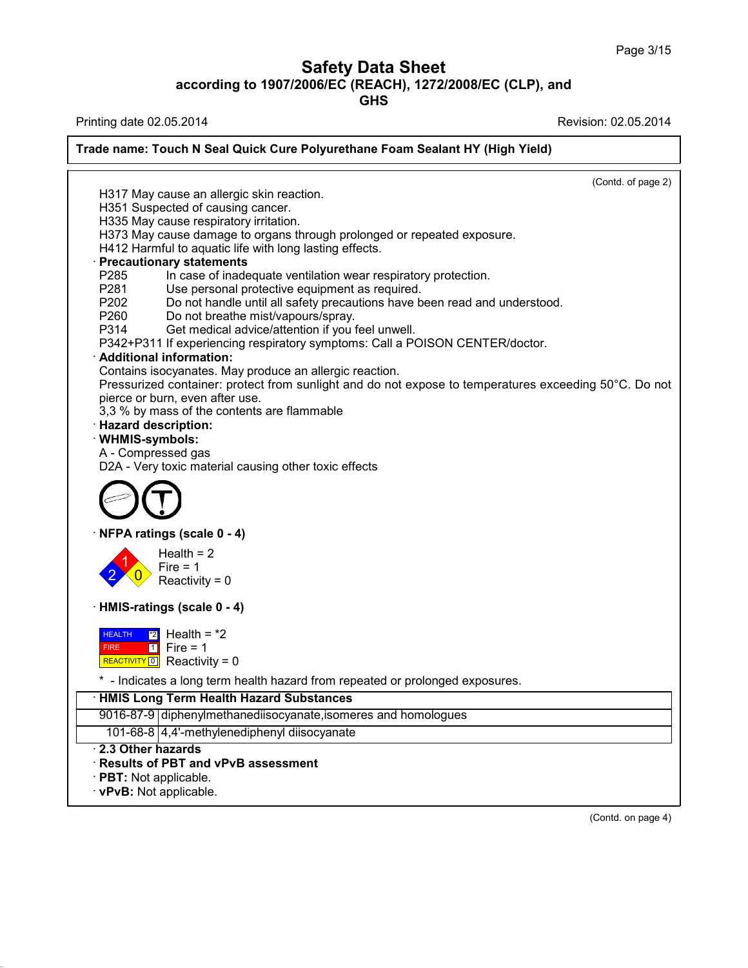**GHS**

Printing date 02.05.2014 **Revision: 02.05.2014** 

38.0.33

## **Trade name: Touch N Seal Quick Cure Polyurethane Foam Sealant HY (High Yield)**

|                                                                                                        | (Contd. of page 2) |
|--------------------------------------------------------------------------------------------------------|--------------------|
| H317 May cause an allergic skin reaction.                                                              |                    |
| H351 Suspected of causing cancer.                                                                      |                    |
| H335 May cause respiratory irritation.                                                                 |                    |
| H373 May cause damage to organs through prolonged or repeated exposure.                                |                    |
| H412 Harmful to aquatic life with long lasting effects.                                                |                    |
| <b>Precautionary statements</b>                                                                        |                    |
| P285<br>In case of inadequate ventilation wear respiratory protection.                                 |                    |
| P281<br>Use personal protective equipment as required.                                                 |                    |
| Do not handle until all safety precautions have been read and understood.<br>P202                      |                    |
| P260<br>Do not breathe mist/vapours/spray.<br>Get medical advice/attention if you feel unwell.<br>P314 |                    |
| P342+P311 If experiencing respiratory symptoms: Call a POISON CENTER/doctor.                           |                    |
| $\cdot$ Additional information:                                                                        |                    |
| Contains isocyanates. May produce an allergic reaction.                                                |                    |
| Pressurized container: protect from sunlight and do not expose to temperatures exceeding 50°C. Do not  |                    |
| pierce or burn, even after use.                                                                        |                    |
| 3,3 % by mass of the contents are flammable                                                            |                    |
| · Hazard description:                                                                                  |                    |
| · WHMIS-symbols:                                                                                       |                    |
| A - Compressed gas                                                                                     |                    |
| D2A - Very toxic material causing other toxic effects                                                  |                    |
| NFPA ratings (scale 0 - 4)                                                                             |                    |
| Health = $2$                                                                                           |                    |
| $Fire = 1$                                                                                             |                    |
| Reactivity = $0$                                                                                       |                    |
|                                                                                                        |                    |
| · HMIS-ratings (scale 0 - 4)                                                                           |                    |
| <b>HEALTH</b><br>$\mathbb{Z}$ Health = $\mathbb{Z}$                                                    |                    |
| $\boxed{1}$ Fire = 1<br><b>FIRE</b>                                                                    |                    |
| REACTIVITY 0 Reactivity = 0                                                                            |                    |
| * - Indicates a long term health hazard from repeated or prolonged exposures.                          |                    |
| · HMIS Long Term Health Hazard Substances                                                              |                    |
| 9016-87-9 diphenylmethanediisocyanate, isomeres and homologues                                         |                    |
| 101-68-8 4,4'-methylenediphenyl diisocyanate                                                           |                    |
| 2.3 Other hazards                                                                                      |                    |
| · Results of PBT and vPvB assessment                                                                   |                    |
| · PBT: Not applicable.                                                                                 |                    |
| · vPvB: Not applicable.                                                                                |                    |

(Contd. on page 4)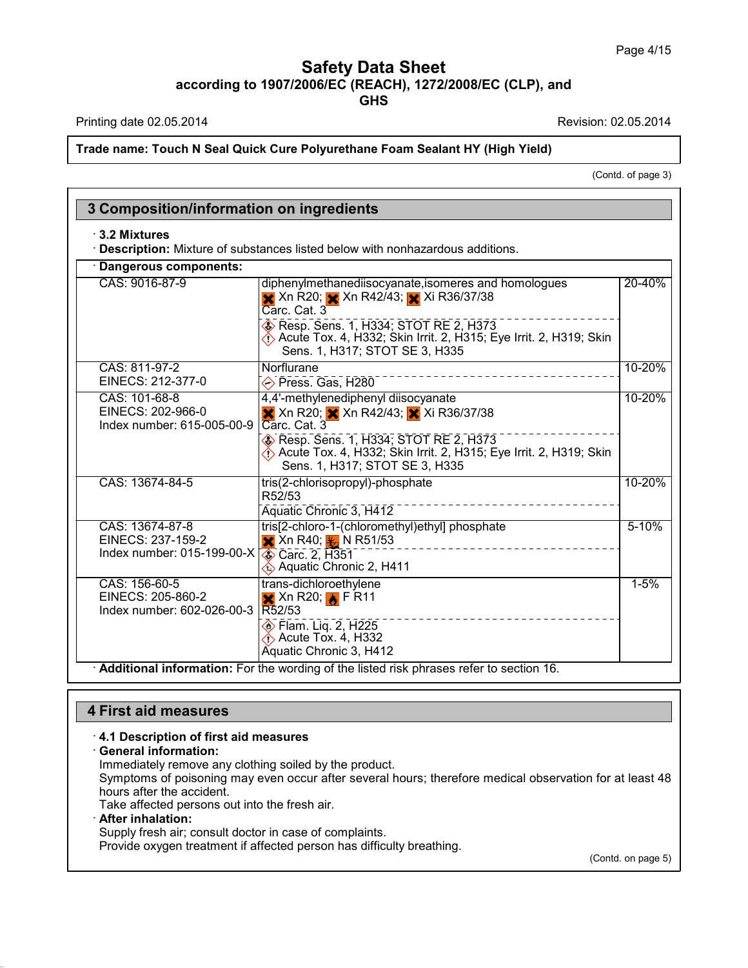Printing date 02.05.2014 **Revision: 02.05.2014** 

**Trade name: Touch N Seal Quick Cure Polyurethane Foam Sealant HY (High Yield)**

(Contd. of page 3)

| $\cdot$ 3.2 Mixtures                                                                               | · Description: Mixture of substances listed below with nonhazardous additions.                                                                      |           |
|----------------------------------------------------------------------------------------------------|-----------------------------------------------------------------------------------------------------------------------------------------------------|-----------|
| Dangerous components:                                                                              |                                                                                                                                                     |           |
| CAS: 9016-87-9                                                                                     | diphenylmethanediisocyanate, isomeres and homologues<br>X Xn R20; X Xn R42/43; Xi R36/37/38<br>Carc. Cat. 3                                         | 20-40%    |
|                                                                                                    | $\circ$ Resp. Sens. 1, H334; STOT RE 2, H373<br>Acute Tox. 4, H332; Skin Irrit. 2, H315; Eye Irrit. 2, H319; Skin<br>Sens. 1, H317; STOT SE 3, H335 |           |
| CAS: 811-97-2<br>EINECS: 212-377-0                                                                 | Norflurane<br>Press. Gas, H280                                                                                                                      | 10-20%    |
| CAS: 101-68-8<br>EINECS: 202-966-0<br>Index number: 615-005-00-9                                   | 4,4'-methylenediphenyl diisocyanate<br><b>X</b> Xn R20; <b>X</b> Xn R42/43; <b>X</b> Xi R36/37/38<br>Carc. Cat. 3                                   | 10-20%    |
|                                                                                                    | Resp. Sens. 1, H334; STOT RE 2, H373<br>Acute Tox. 4, H332; Skin Irrit. 2, H315; Eye Irrit. 2, H319; Skin<br>Sens. 1, H317; STOT SE 3, H335         |           |
| CAS: 13674-84-5                                                                                    | tris(2-chlorisopropyl)-phosphate<br>R52/53                                                                                                          | 10-20%    |
|                                                                                                    | Aquatic Chronic 3, H412                                                                                                                             |           |
| CAS: 13674-87-8<br>EINECS: 237-159-2<br>Index number: 015-199-00-X $\sqrt{\text{Q}}$ Carc. 2, H351 | tris[2-chloro-1-(chloromethyl)ethyl] phosphate<br>$\frac{1}{2}$ Xn R40; $\frac{1}{2}$ N R51/53                                                      | $5 - 10%$ |
|                                                                                                    | Aquatic Chronic 2, H411                                                                                                                             |           |
| CAS: 156-60-5<br>EINECS: 205-860-2<br>Index number: 602-026-00-3 R52/53                            | trans-dichloroethylene<br>$\mathsf{X}$ Xn R20; $\mathsf{A}$ F R11                                                                                   | $1 - 5%$  |
|                                                                                                    | <b>Elam.</b> Liq. 2, H225<br>$\bigcirc$ Acute Tox. 4, H332<br>Aquatic Chronic 3, H412                                                               |           |

# **4 First aid measures**

#### · **4.1 Description of first aid measures**

## · **General information:**

Immediately remove any clothing soiled by the product.

Symptoms of poisoning may even occur after several hours; therefore medical observation for at least 48 hours after the accident.

Take affected persons out into the fresh air.

### · **After inhalation:**

38.0.33

Supply fresh air; consult doctor in case of complaints.

Provide oxygen treatment if affected person has difficulty breathing.

(Contd. on page 5)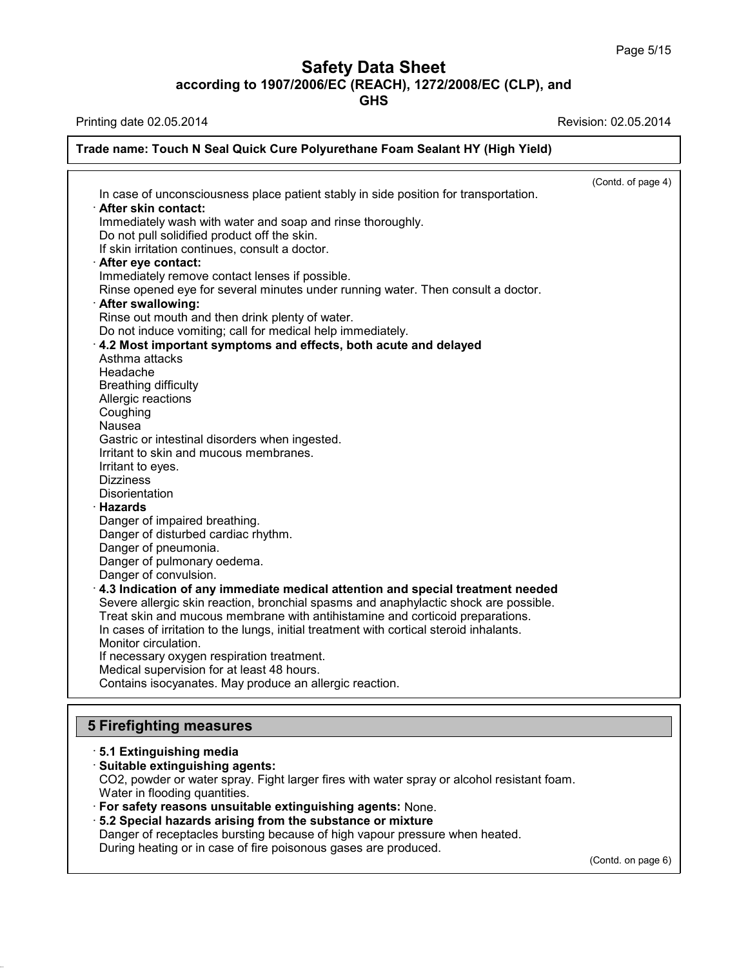**GHS**

Printing date 02.05.2014 **Revision: 02.05.2014** Revision: 02.05.2014

#### **Trade name: Touch N Seal Quick Cure Polyurethane Foam Sealant HY (High Yield)** (Contd. of page 4) In case of unconsciousness place patient stably in side position for transportation. · **After skin contact:** Immediately wash with water and soap and rinse thoroughly. Do not pull solidified product off the skin. If skin irritation continues, consult a doctor. · **After eye contact:** Immediately remove contact lenses if possible. Rinse opened eye for several minutes under running water. Then consult a doctor. · **After swallowing:** Rinse out mouth and then drink plenty of water. Do not induce vomiting; call for medical help immediately. · **4.2 Most important symptoms and effects, both acute and delayed** Asthma attacks Headache Breathing difficulty Allergic reactions Coughing Nausea Gastric or intestinal disorders when ingested. Irritant to skin and mucous membranes. Irritant to eyes. **Dizziness Disorientation** · **Hazards** Danger of impaired breathing. Danger of disturbed cardiac rhythm. Danger of pneumonia. Danger of pulmonary oedema. Danger of convulsion. · **4.3 Indication of any immediate medical attention and special treatment needed** Severe allergic skin reaction, bronchial spasms and anaphylactic shock are possible. Treat skin and mucous membrane with antihistamine and corticoid preparations. In cases of irritation to the lungs, initial treatment with cortical steroid inhalants. Monitor circulation. If necessary oxygen respiration treatment. Medical supervision for at least 48 hours. Contains isocyanates. May produce an allergic reaction.

## **5 Firefighting measures**

38.0.33

## · **5.1 Extinguishing media** · **Suitable extinguishing agents:** CO2, powder or water spray. Fight larger fires with water spray or alcohol resistant foam. Water in flooding quantities. · **For safety reasons unsuitable extinguishing agents:** None. · **5.2 Special hazards arising from the substance ormixture** Danger of receptacles bursting because of high vapour pressure when heated. During heating or in case of fire poisonous gases are produced.

(Contd. on page 6)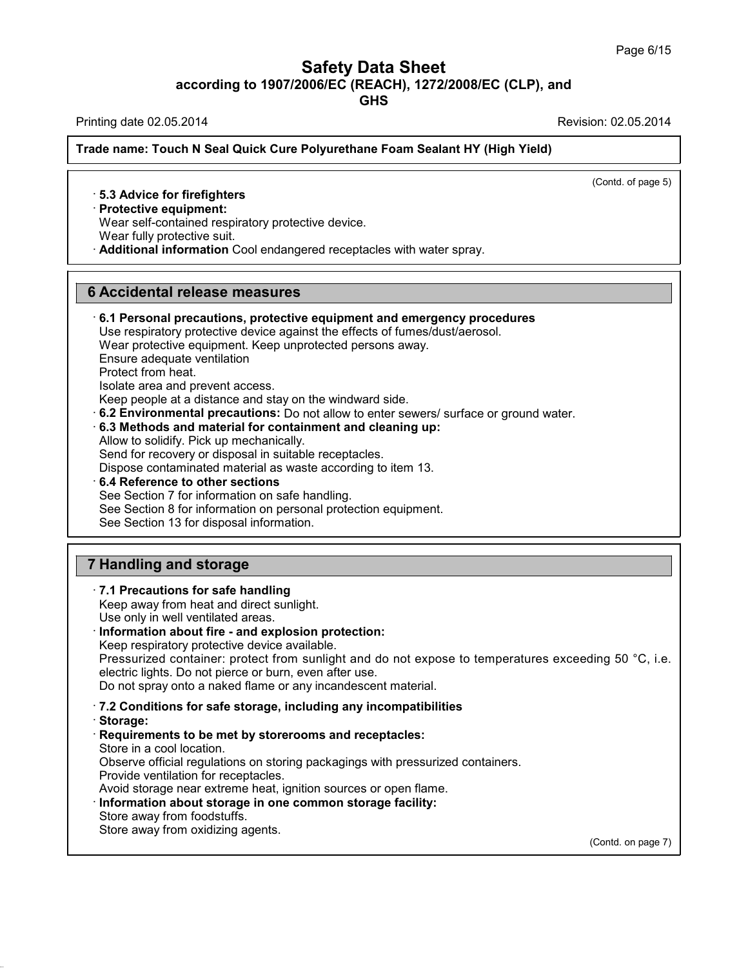**GHS**

Printing date 02.05.2014 Revision: 02.05.2014

**Trade name: Touch N Seal Quick Cure Polyurethane Foam Sealant HY (High Yield)**

(Contd. of page 5)

### · **5.3 Advice for firefighters**

## · **Protective equipment:**

Wear self-contained respiratory protective device.

Wear fully protective suit.

· **Additional information** Cool endangered receptacles with water spray.

### **6 Accidental release measures**

# · **6.1 Personal precautions, protective equipment and emergency procedures**

Use respiratory protective device against the effects of fumes/dust/aerosol.

Wear protective equipment. Keep unprotected persons away. Ensure adequate ventilation

Protect from heat.

Isolate area and prevent access.

Keep people at a distance and stay on the windward side.

· **6.2 Environmental precautions:** Do not allow to enter sewers/ surface or ground water.

#### · **6.3 Methods and material for containment and cleaning up:**

Allow to solidify. Pick up mechanically.

Send for recovery or disposal in suitable receptacles.

Dispose contaminated material as waste according to item 13.

- · **6.4 Reference to other sections** See Section 7 for information on safe handling.
- See Section 8 for information on personal protection equipment.

See Section 13 for disposal information.

## **7 Handling and storage**

#### · **7.1 Precautions for safe handling** Keep away from heat and direct sunlight. Use only in well ventilated areas. · **Information about fire - and explosion protection:** Keep respiratory protective device available. Pressurized container: protect from sunlight and do not expose to temperatures exceeding 50 °C, i.e. electric lights. Do not pierce or burn, even after use. Do not spray onto a naked flame or any incandescent material. · **7.2 Conditions for safe storage, including any incompatibilities** · **Storage:** · **Requirements to be met by storerooms and receptacles:** Store in a cool location. Observe official regulations on storing packagings with pressurized containers. Provide ventilation for receptacles.

Avoid storage near extreme heat, ignition sources or open flame.

- · **Information about storage in one common storage facility:**
- Store away from foodstuffs.

38.0.33

Store away from oxidizing agents.

(Contd. on page 7)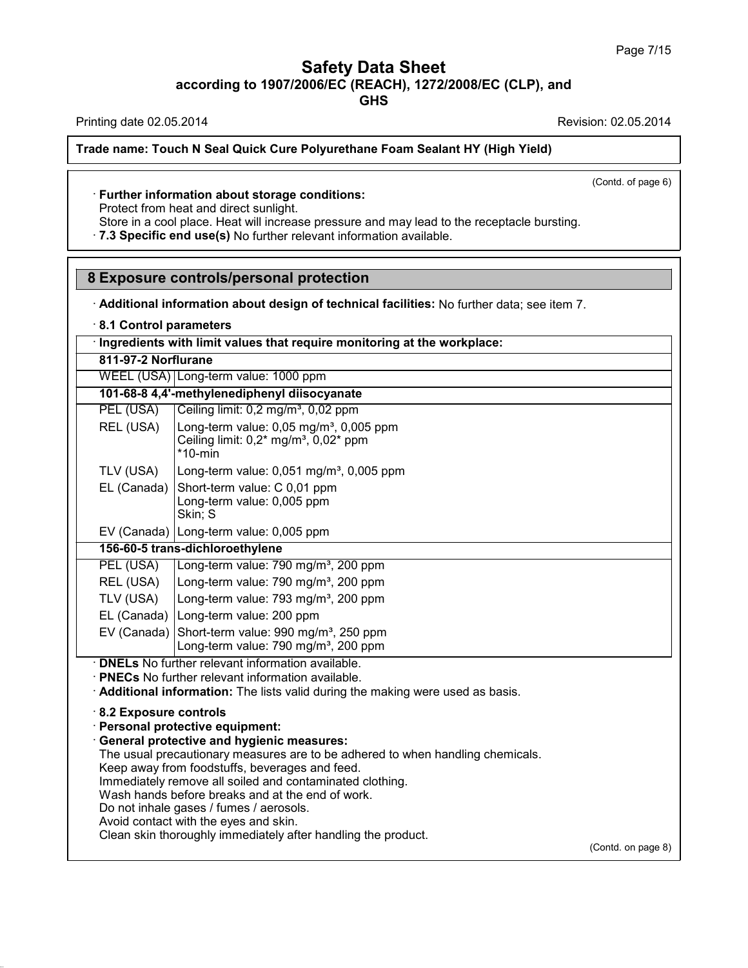**GHS**

Printing date 02.05.2014 **Printing date 02.05.2014** 

**Trade name: Touch N Seal Quick Cure Polyurethane Foam Sealant HY (High Yield)**

(Contd. of page 6)

#### · **Further information about storage conditions:**

Protect from heat and direct sunlight.

Store in a cool place. Heat will increase pressure and may lead to the receptacle bursting. · **7.3 Specific end use(s)** No further relevant information available.

**8 Exposure controls/personal protection**

· **Additional information about design of technical facilities:** No further data; see item 7.

· **8.1 Control parameters**

· **Ingredients with limit values that require monitoring at the workplace:**

**811-97-2 Norflurane**

WEEL (USA) Long-term value: 1000 ppm

**101-68-8 4,4'-methylenediphenyl diisocyanate**

| PEL (USA) | Ceiling limit: 0,2 mg/m <sup>3</sup> , 0,02 ppm                                                                                                     |
|-----------|-----------------------------------------------------------------------------------------------------------------------------------------------------|
| REL (USA) | Long-term value: 0,05 mg/m <sup>3</sup> , 0,005 ppm<br>Ceiling limit: 0,2 <sup>*</sup> mg/m <sup>3</sup> , 0,02 <sup>*</sup> ppm<br>$*$ 10-min      |
|           |                                                                                                                                                     |
|           | TLV (USA) Long-term value: 0,051 mg/m <sup>3</sup> , 0,005 ppm<br>EL (Canada) Short-term value: C 0,01 ppm<br>Long-term value: 0,005 ppm<br>Skin; S |

EV (Canada) Long-term value: 0,005 ppm

**156-60-5 trans-dichloroethylene**

| PEL (USA) Long-term value: 790 mg/m <sup>3</sup> , 200 ppm         |
|--------------------------------------------------------------------|
| REL (USA)   Long-term value: 790 mg/m <sup>3</sup> , 200 ppm       |
| TLV (USA) $\vert$ Long-term value: 793 mg/m <sup>3</sup> , 200 ppm |

EL (Canada) Long-term value: 200 ppm

EV (Canada) Short-term value: 990 mg/m<sup>3</sup>, 250 ppm Long-term value: 790 mg/m<sup>3</sup>, 200 ppm

· **DNELs** No further relevant information available.

· **PNECs** No further relevant information available.

· **Additional information:** The lists valid during the making were used as basis.

· **8.2 Exposure controls**

38.0.33

· **Personal protective equipment:**

· **General protective and hygienic measures:**

The usual precautionary measures are to be adhered to when handling chemicals.

Keep away from foodstuffs, beverages and feed.

Immediately remove all soiled and contaminated clothing.

Wash hands before breaks and at the end of work.

Do not inhale gases / fumes / aerosols.

Avoid contact with the eyes and skin.

Clean skin thoroughly immediately after handling the product.

(Contd. on page 8)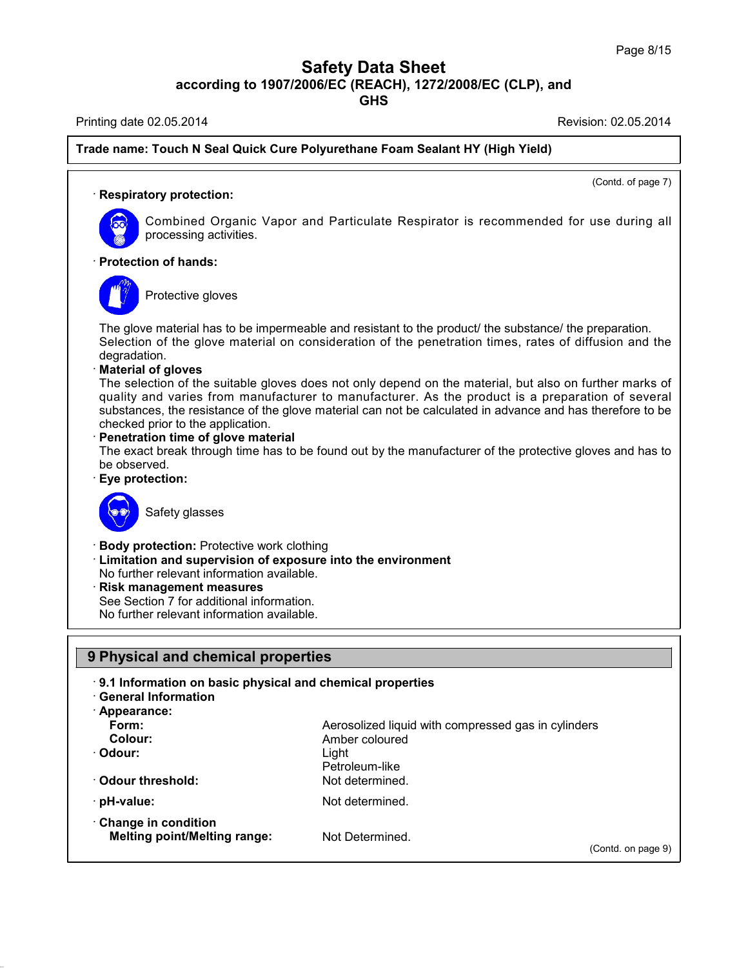**GHS**

Printing date 02.05.2014 **Printing date 02.05.2014** 

(Contd. of page 7)

on page 9)

### **Trade name: Touch N Seal Quick Cure Polyurethane Foam Sealant HY (High Yield)**

#### · **Respiratory protection:**



Combined Organic Vapor and Particulate Respirator is recommended for use during all processing activities.

#### · **Protection of hands:**



Protective gloves

The glove material has to be impermeable and resistant to the product/ the substance/ the preparation. Selection of the glove material on consideration of the penetration times, rates of diffusion and the degradation.

#### · **Material of gloves**

The selection of the suitable gloves does not only depend on the material, but also on further marks of quality and varies from manufacturer to manufacturer. As the product is a preparation of several substances, the resistance of the glove material can not be calculated in advance and has therefore to be checked prior to the application.

#### · **Penetration time of glove material**

The exact break through time has to be found out by the manufacturer of the protective gloves and has to be observed.

· **Eye protection:**



## Safety glasses

- · **Body protection:** Protective work clothing
- · **Limitation and supervision of exposure into the environment**

No further relevant information available.

- · **Risk management measures**
- See Section 7 for additional information.

No further relevant information available.

### **9 Physical and chemical properties**

#### · **9.1 Information on basic physical and chemical properties**

· **General Information** · **Appearance:**

38.0.33

| APPGIQIIUG.                                                |                                                     |              |
|------------------------------------------------------------|-----------------------------------------------------|--------------|
| Form:                                                      | Aerosolized liquid with compressed gas in cylinders |              |
| Colour:                                                    | Amber coloured                                      |              |
| · Odour:                                                   | Liaht                                               |              |
|                                                            | Petroleum-like                                      |              |
| Odour threshold:                                           | Not determined.                                     |              |
| · pH-value:                                                | Not determined.                                     |              |
| Change in condition<br><b>Melting point/Melting range:</b> | Not Determined.                                     |              |
|                                                            |                                                     | (Contd. on p |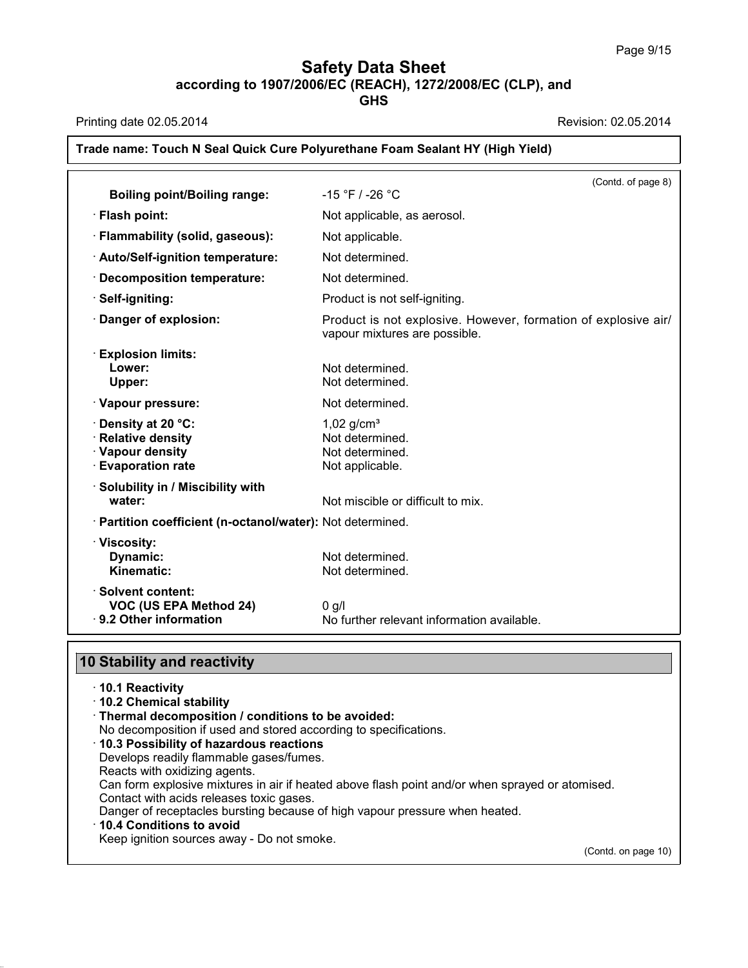**GHS**

Printing date 02.05.2014 **Printing date 02.05.2014** 

## **Trade name: Touch N Seal Quick Cure Polyurethane Foam Sealant HY (High Yield)** (Contd. of page 8) **Boiling point/Boiling range:** -15 °F / -26 °C · **Flash point:** Not applicable, as aerosol. · **Flammability (solid, gaseous):** Not applicable. · **Auto/Self-ignition temperature:** Not determined. · **Decomposition temperature:** Not determined. **· Self-igniting:** Product is not self-igniting. · **Danger of explosion:** Product is not explosive. However, formation of explosive air/ vapour mixtures are possible. · **Explosion limits: Lower:** Not determined. **Upper:** Not determined. · **Vapour pressure:** Not determined. **Ponsity at 20 °C:** 1,02 g/cm<sup>3</sup><br> **Relative density** Relative Books and Relative density **· Relative density Example 1 Construct Vapour density** Not determined.<br> **Exaporation rate** Not applicable. **Evaporation rate** · **Solubility in / Miscibility with water:**  $\blacksquare$  Not miscible or difficult to mix. · **Partition coefficient (n-octanol/water):** Not determined. · **Viscosity: Dynamic:** Not determined.<br> **Kinematic:** Not determined. Not determined. · **Solvent content: VOC (US EPA Method 24)** 0 g/l

### **10 Stability and reactivity**

|  |  | $\cdot$ 10.1 Reactivity |  |
|--|--|-------------------------|--|
|--|--|-------------------------|--|

- · **10.2 Chemical stability**
- · **Thermal decomposition / conditions to be avoided:**
- No decomposition if used and stored according to specifications.
- · **10.3 Possibility of hazardous reactions**
- Develops readily flammable gases/fumes.
- Reacts with oxidizing agents.
- Can form explosive mixtures in air if heated above flash point and/or when sprayed or atomised.
- Contact with acids releases toxic gases.
- Danger of receptacles bursting because of high vapour pressure when heated.

· **9.2 Other information** No further relevant information available.

#### · **10.4 Conditions to avoid**

38.0.33

Keep ignition sources away - Do not smoke.

(Contd. on page 10)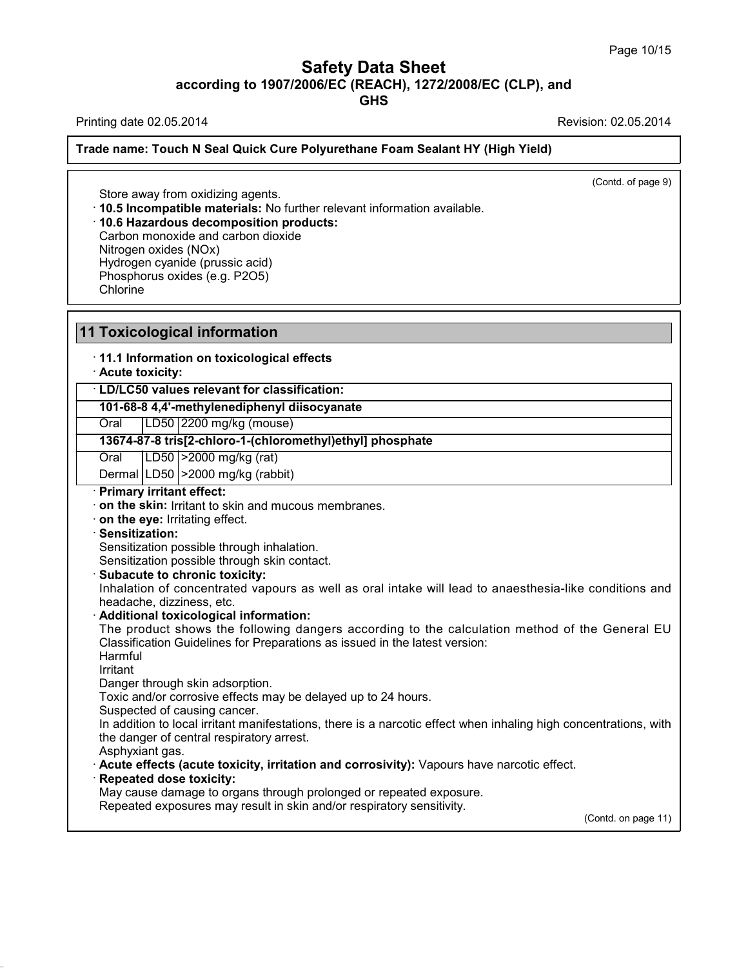**GHS**

Printing date 02.05.2014 Revision: 02.05.2014

**Trade name: Touch N Seal Quick Cure Polyurethane Foam Sealant HY (High Yield)**

(Contd. of page 9)

Store away from oxidizing agents. · **10.5 Incompatible materials:** No further relevant information available. · **10.6 Hazardous decomposition products:** Carbon monoxide and carbon dioxide Nitrogen oxides (NOx) Hydrogen cyanide (prussic acid) Phosphorus oxides (e.g. P2O5) **Chlorine** 

## **11 Toxicological information**

· **11.1 Information on toxicological effects**

· **Acute toxicity:**

· **LD/LC50 values relevant for classification:**

**101-68-8 4,4'-methylenediphenyl diisocyanate**

Oral LD50 2200 mg/kg (mouse)

**13674-87-8 tris[2-chloro-1-(chloromethyl)ethyl] phosphate**

Oral LD50 >2000 mg/kg (rat)

Dermal LD50 >2000 mg/kg (rabbit)

· **Primary irritant effect:**

· **on the skin:** Irritant to skin and mucous membranes.

· **on the eye:** Irritating effect.

· **Sensitization:**

Sensitization possible through inhalation.

Sensitization possible through skin contact.

#### · **Subacute to chronic toxicity:**

Inhalation of concentrated vapours as well as oral intake will lead to anaesthesia-like conditions and headache, dizziness, etc.

#### · **Additional toxicological information:**

The product shows the following dangers according to the calculation method of the General EU Classification Guidelines for Preparations as issued in the latest version:

Harmful

38.0.33

Irritant

Danger through skin adsorption.

Toxic and/or corrosive effects may be delayed up to 24 hours.

Suspected of causing cancer.

In addition to local irritant manifestations, there is a narcotic effect when inhaling high concentrations, with the danger of central respiratory arrest.

Asphyxiant gas.

· **Acute effects (acute toxicity, irritation and corrosivity):** Vapours have narcotic effect.

· **Repeated dose toxicity:**

May cause damage to organs through prolonged or repeated exposure.

Repeated exposures may result in skin and/or respiratory sensitivity.

(Contd. on page 11)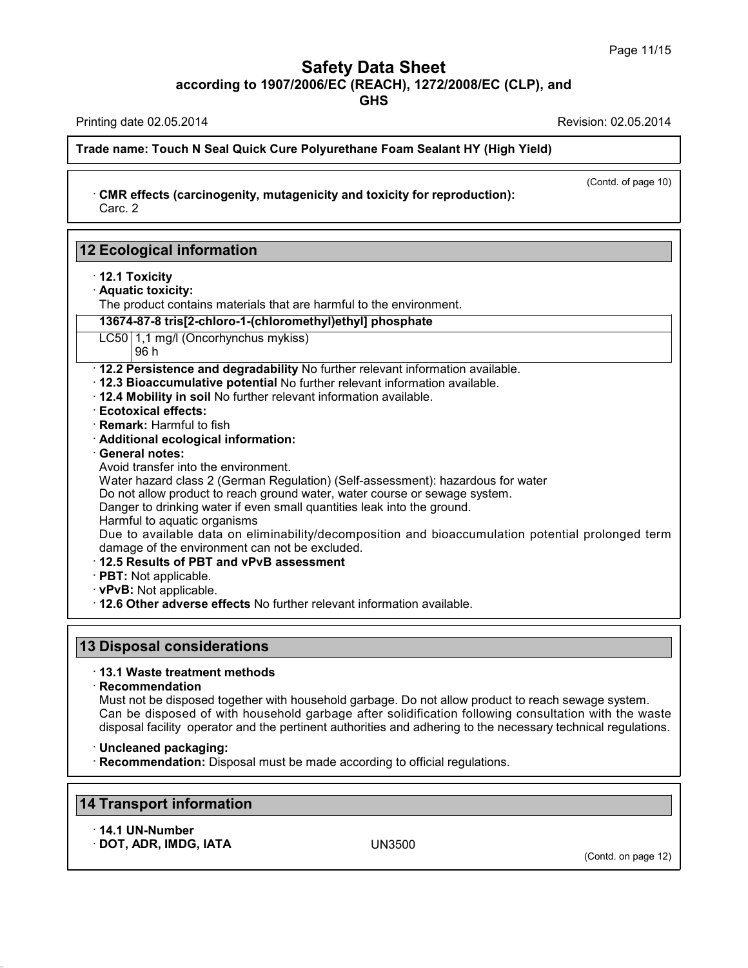(Contd. of page 10)

## **Safety Data Sheet according to 1907/2006/EC (REACH), 1272/2008/EC (CLP),and**

**GHS**

Printing date 02.05.2014 **Revision: 02.05.2014** 

**Trade name: Touch N Seal Quick Cure Polyurethane Foam Sealant HY (High Yield)**

· **CMR effects (carcinogenity, mutagenicity and toxicity for reproduction):** Carc. 2

| $\cdot$ 12.1 Toxicity                                                                                         |  |
|---------------------------------------------------------------------------------------------------------------|--|
| · Aquatic toxicity:                                                                                           |  |
| The product contains materials that are harmful to the environment.                                           |  |
| 13674-87-8 tris[2-chloro-1-(chloromethyl)ethyl] phosphate                                                     |  |
| LC50 1,1 mg/l (Oncorhynchus mykiss)<br>96 h                                                                   |  |
| · 12.2 Persistence and degradability No further relevant information available.                               |  |
| · 12.3 Bioaccumulative potential No further relevant information available.                                   |  |
| . 12.4 Mobility in soil No further relevant information available.                                            |  |
| <b>Ecotoxical effects:</b>                                                                                    |  |
| · Remark: Harmful to fish                                                                                     |  |
| · Additional ecological information:                                                                          |  |
| <b>General notes:</b><br>Avoid transfer into the environment.                                                 |  |
| Water hazard class 2 (German Regulation) (Self-assessment): hazardous for water                               |  |
| Do not allow product to reach ground water, water course or sewage system.                                    |  |
| Danger to drinking water if even small quantities leak into the ground.                                       |  |
| Harmful to aquatic organisms                                                                                  |  |
| Due to available data on eliminability/decomposition and bioaccumulation potential prolonged term             |  |
| damage of the environment can not be excluded.                                                                |  |
| 12.5 Results of PBT and vPvB assessment                                                                       |  |
| · PBT: Not applicable.                                                                                        |  |
| · vPvB: Not applicable.                                                                                       |  |
| . 12.6 Other adverse effects No further relevant information available.                                       |  |
|                                                                                                               |  |
| <b>13 Disposal considerations</b>                                                                             |  |
| 13.1 Waste treatment methods                                                                                  |  |
| · Recommendation                                                                                              |  |
| Must not be disposed together with household garbage. Do not allow product to reach sewage system.            |  |
| Can be disposed of with household garbage after solidification following consultation with the waste          |  |
| disposal facility operator and the pertinent authorities and adhering to the necessary technical regulations. |  |
|                                                                                                               |  |
| · Uncleaned packaging:                                                                                        |  |

· **14.1 UN-Number**

38.0.33

· **DOT, ADR, IMDG, IATA** UN3500

(Contd. on page 12)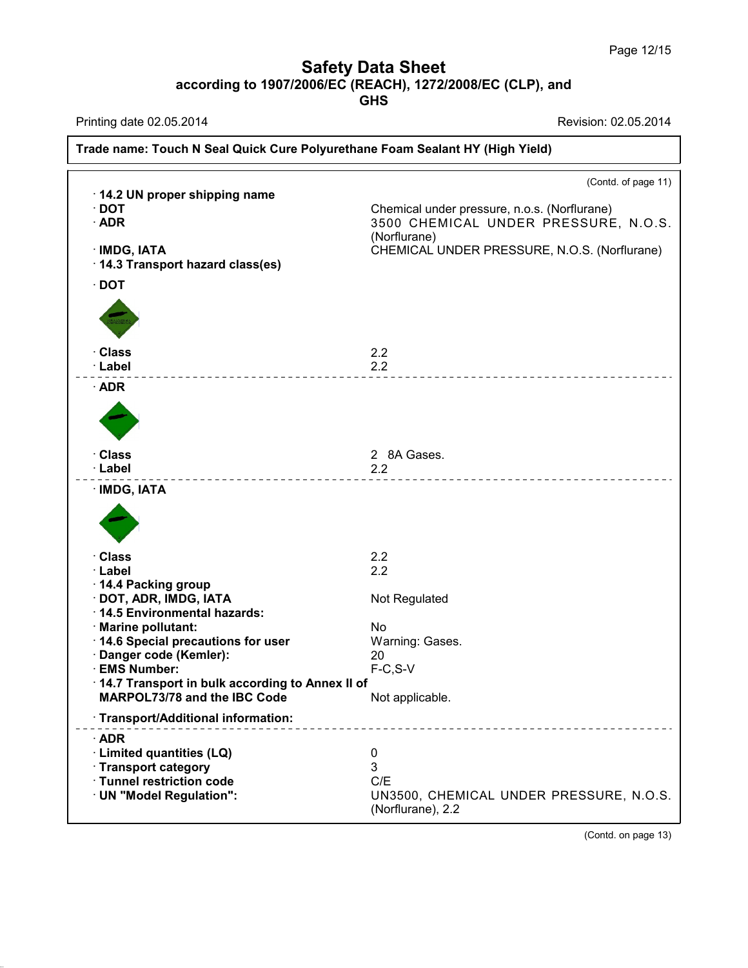**GHS**

Printing date 02.05.2014 **Revision: 02.05.2014** 

38.0.33

|                                                      | (Contd. of page 11)                                          |
|------------------------------------------------------|--------------------------------------------------------------|
| 14.2 UN proper shipping name<br>$\cdot$ DOT          | Chemical under pressure, n.o.s. (Norflurane)                 |
| $\cdot$ ADR                                          | 3500 CHEMICAL UNDER PRESSURE, N.O.S.                         |
|                                                      | (Norflurane)                                                 |
| · IMDG, IATA                                         | CHEMICAL UNDER PRESSURE, N.O.S. (Norflurane)                 |
| · 14.3 Transport hazard class(es)                    |                                                              |
| $\cdot$ DOT                                          |                                                              |
|                                                      |                                                              |
| · Class                                              | 2.2                                                          |
| · Label                                              | 2.2                                                          |
| $\cdot$ ADR                                          |                                                              |
|                                                      |                                                              |
| · Class                                              | 2 8A Gases.                                                  |
| · Label                                              | 2.2                                                          |
| · IMDG, IATA                                         |                                                              |
|                                                      |                                                              |
| · Class                                              | 2.2                                                          |
| · Label                                              | 2.2                                                          |
| 14.4 Packing group                                   |                                                              |
| · DOT, ADR, IMDG, IATA                               | Not Regulated                                                |
| · 14.5 Environmental hazards:<br>· Marine pollutant: | No                                                           |
| 14.6 Special precautions for user                    | Warning: Gases.                                              |
| Danger code (Kemler):                                | 20                                                           |
| · EMS Number:                                        | $F-C, S-V$                                                   |
| 14.7 Transport in bulk according to Annex II of      |                                                              |
| MARPOL73/78 and the IBC Code                         | Not applicable.                                              |
| · Transport/Additional information:                  |                                                              |
| $\cdot$ ADR                                          |                                                              |
| · Limited quantities (LQ)                            | $\boldsymbol{0}$                                             |
| · Transport category                                 | 3                                                            |
| · Tunnel restriction code                            | C/E                                                          |
| · UN "Model Regulation":                             | UN3500, CHEMICAL UNDER PRESSURE, N.O.S.<br>(Norflurane), 2.2 |

(Contd. on page 13)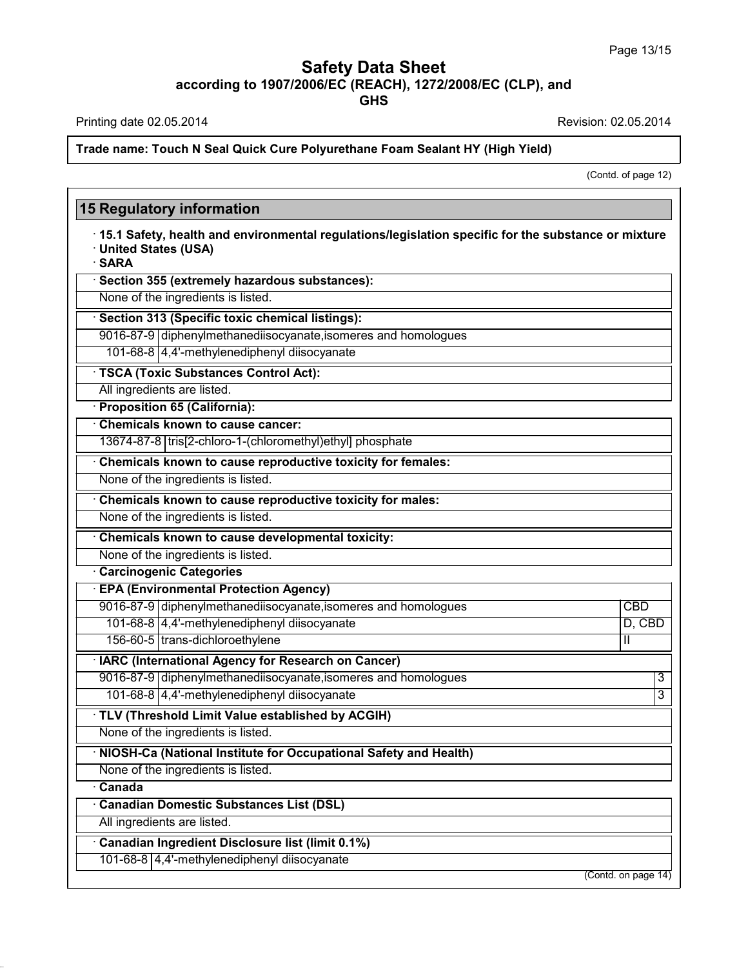Printing date 02.05.2014 **Revision: 02.05.2014** 

Г

38.0.33

**Trade name: Touch N Seal Quick Cure Polyurethane Foam Sealant HY (High Yield)**

(Contd. of page 12)

| <b>15 Regulatory information</b>                                                                                                       |                     |
|----------------------------------------------------------------------------------------------------------------------------------------|---------------------|
| 15.1 Safety, health and environmental regulations/legislation specific for the substance or mixture<br>· United States (USA)<br>· SARA |                     |
| · Section 355 (extremely hazardous substances):                                                                                        |                     |
| None of the ingredients is listed.                                                                                                     |                     |
| Section 313 (Specific toxic chemical listings):                                                                                        |                     |
| 9016-87-9 diphenylmethanediisocyanate, isomeres and homologues                                                                         |                     |
| 101-68-8 4,4'-methylenediphenyl diisocyanate                                                                                           |                     |
| · TSCA (Toxic Substances Control Act):                                                                                                 |                     |
| All ingredients are listed.                                                                                                            |                     |
| · Proposition 65 (California):                                                                                                         |                     |
| Chemicals known to cause cancer:                                                                                                       |                     |
| 13674-87-8 tris[2-chloro-1-(chloromethyl)ethyl] phosphate                                                                              |                     |
| Chemicals known to cause reproductive toxicity for females:                                                                            |                     |
| None of the ingredients is listed.                                                                                                     |                     |
| Chemicals known to cause reproductive toxicity for males:                                                                              |                     |
| None of the ingredients is listed.                                                                                                     |                     |
| Chemicals known to cause developmental toxicity:                                                                                       |                     |
| None of the ingredients is listed.                                                                                                     |                     |
| <b>Carcinogenic Categories</b>                                                                                                         |                     |
| <b>EPA (Environmental Protection Agency)</b>                                                                                           |                     |
| 9016-87-9 diphenylmethanediisocyanate, isomeres and homologues                                                                         | <b>CBD</b>          |
| 101-68-8 4,4'-methylenediphenyl diisocyanate                                                                                           | $D,$ CBD            |
| 156-60-5 trans-dichloroethylene                                                                                                        | Ш                   |
| · IARC (International Agency for Research on Cancer)                                                                                   |                     |
| 9016-87-9 diphenylmethanediisocyanate, isomeres and homologues                                                                         | 3                   |
| 101-68-8 4,4'-methylenediphenyl diisocyanate                                                                                           | 3                   |
| · TLV (Threshold Limit Value established by ACGIH)                                                                                     |                     |
| None of the ingredients is listed.                                                                                                     |                     |
| NIOSH-Ca (National Institute for Occupational Safety and Health)                                                                       |                     |
| None of the ingredients is listed.                                                                                                     |                     |
| Canada                                                                                                                                 |                     |
| Canadian Domestic Substances List (DSL)                                                                                                |                     |
| All ingredients are listed.                                                                                                            |                     |
| Canadian Ingredient Disclosure list (limit 0.1%)                                                                                       |                     |
| 101-68-8 4,4'-methylenediphenyl diisocyanate                                                                                           |                     |
|                                                                                                                                        | (Contd. on page 14) |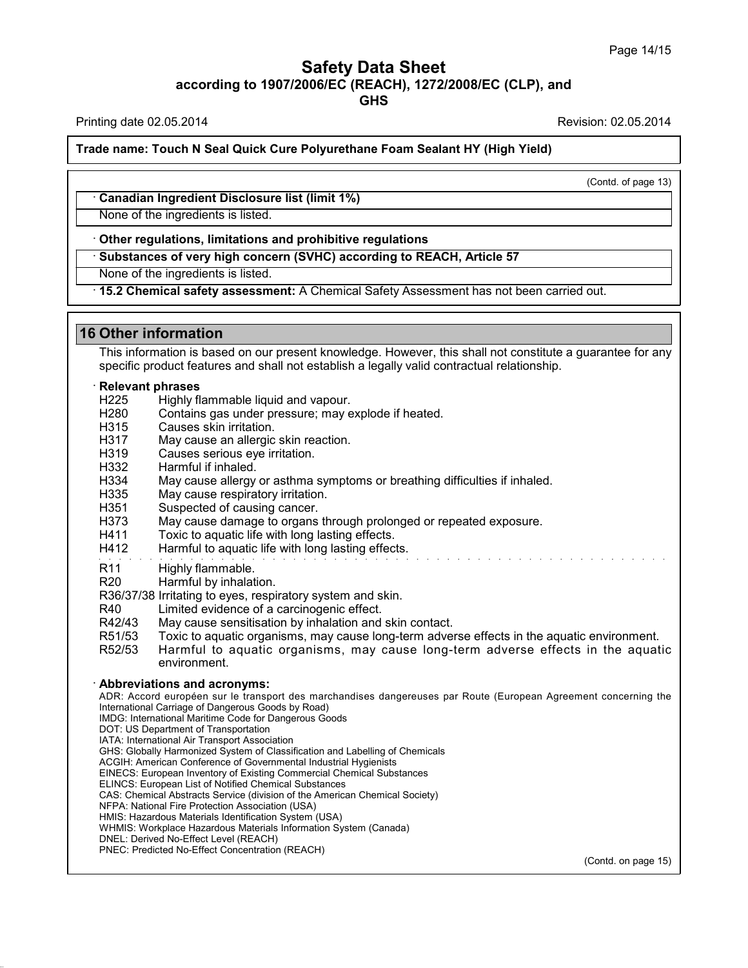Printing date 02.05.2014 **Revision: 02.05.2014** Revision: 02.05.2014

**Trade name: Touch N Seal Quick Cure Polyurethane Foam Sealant HY (High Yield)**

(Contd. of page 13)

· **Canadian Ingredient Disclosure list (limit 1%)**

None of the ingredients is listed.

· **Other regulations, limitations and prohibitive regulations**

· **Substances of very high concern (SVHC) according to REACH, Article 57**

None of the ingredients is listed.

· **15.2 Chemical safety assessment:** A Chemical Safety Assessment has not been carried out.

## **16 Other information**

This information is based on our present knowledge. However, this shall not constitute a guarantee for any specific product features and shall not establish a legally valid contractual relationship.

#### · **Relevant phrases**

- H225 Highly flammable liquid and vapour.<br>H280 Contains gas under pressure: may e
- Contains gas under pressure; may explode if heated.
- H315 Causes skin irritation.<br>H317 May cause an allergic
- May cause an allergic skin reaction.
- H319 Causes serious eye irritation.
- H332 Harmful if inhaled.
- H334 May cause allergy or asthma symptoms or breathing difficulties if inhaled.
- H335 May cause respiratory irritation.
- H351 Suspected of causing cancer.
- H373 May cause damage to organs through prolonged or repeated exposure.
- H411 Toxic to aquatic life with long lasting effects.
- H412 Harmful to aquatic life with long lasting effects.
- R11 Highly flammable.
- R20 Harmful by inhalation.

R36/37/38 Irritating to eyes, respiratory system and skin.

- R40 Limited evidence of a carcinogenic effect.
- R42/43 May cause sensitisation by inhalation and skin contact.
- 
- R51/53 Toxic to aquatic organisms, may cause long-term adverse effects in the aquatic environment.<br>R52/53 Harmful to aquatic organisms, may cause long-term adverse effects in the aquat Harmful to aquatic organisms, may cause long-term adverse effects in the aquatic environment.

#### · **Abbreviations and acronyms:**

ADR: Accord européen sur le transport des marchandises dangereuses par Route (European Agreement concerning the International Carriage of Dangerous Goods by Road)

- IMDG: International Maritime Code for Dangerous Goods
- DOT: US Department of Transportation

IATA: International Air Transport Association GHS: Globally Harmonized System of Classification and Labelling of Chemicals

ACGIH: American Conference of Governmental Industrial Hygienists

EINECS: European Inventory of Existing Commercial Chemical Substances

ELINCS: European List of Notified Chemical Substances

CAS: Chemical Abstracts Service (division of the American Chemical Society)

NFPA: National Fire Protection Association (USA)

HMIS: Hazardous Materials Identification System (USA)

WHMIS: Workplace Hazardous Materials Information System (Canada)

DNEL: Derived No-Effect Level (REACH) PNEC: Predicted No-Effect Concentration (REACH)

38.0.33

(Contd. on page 15)